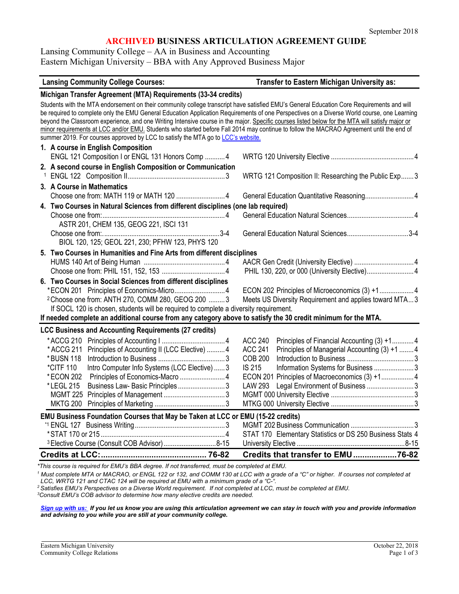# **ARCHIVED BUSINESS ARTICULATION AGREEMENT GUIDE**

Lansing Community College – AA in Business and Accounting Eastern Michigan University – BBA with Any Approved Business Major

#### **Lansing Community College Courses: Transfer to Eastern Michigan University as:**

| Michigan Transfer Agreement (MTA) Requirements (33-34 credits)                                                                                  |                                                                 |  |  |  |
|-------------------------------------------------------------------------------------------------------------------------------------------------|-----------------------------------------------------------------|--|--|--|
| Students with the MTA endorsement on their community college transcript have satisfied EMU's General Education Core Requirements and will       |                                                                 |  |  |  |
| be required to complete only the EMU General Education Application Requirements of one Perspectives on a Diverse World course, one Learning     |                                                                 |  |  |  |
| beyond the Classroom experience, and one Writing Intensive course in the major. Specific courses listed below for the MTA will satisfy major or |                                                                 |  |  |  |
| minor requirements at LCC and/or EMU. Students who started before Fall 2014 may continue to follow the MACRAO Agreement until the end of        |                                                                 |  |  |  |
| summer 2019. For courses approved by LCC to satisfy the MTA go to LCC's website.                                                                |                                                                 |  |  |  |
| 1. A course in English Composition                                                                                                              |                                                                 |  |  |  |
| ENGL 121 Composition I or ENGL 131 Honors Comp  4                                                                                               |                                                                 |  |  |  |
| 2. A second course in English Composition or Communication                                                                                      |                                                                 |  |  |  |
|                                                                                                                                                 | WRTG 121 Composition II: Researching the Public Exp 3           |  |  |  |
| 3. A Course in Mathematics                                                                                                                      |                                                                 |  |  |  |
|                                                                                                                                                 | General Education Quantitative Reasoning 4                      |  |  |  |
| 4. Two Courses in Natural Sciences from different disciplines (one lab required)                                                                |                                                                 |  |  |  |
|                                                                                                                                                 |                                                                 |  |  |  |
| ASTR 201, CHEM 135, GEOG 221, ISCI 131                                                                                                          |                                                                 |  |  |  |
|                                                                                                                                                 |                                                                 |  |  |  |
| BIOL 120, 125; GEOL 221, 230; PFHW 123, PHYS 120                                                                                                |                                                                 |  |  |  |
| 5. Two Courses in Humanities and Fine Arts from different disciplines                                                                           |                                                                 |  |  |  |
|                                                                                                                                                 |                                                                 |  |  |  |
|                                                                                                                                                 |                                                                 |  |  |  |
| 6. Two Courses in Social Sciences from different disciplines                                                                                    |                                                                 |  |  |  |
|                                                                                                                                                 |                                                                 |  |  |  |
| <sup>2</sup> Choose one from: ANTH 270, COMM 280, GEOG 200  3                                                                                   | Meets US Diversity Requirement and applies toward MTA3          |  |  |  |
| If SOCL 120 is chosen, students will be required to complete a diversity requirement.                                                           |                                                                 |  |  |  |
| If needed complete an additional course from any category above to satisfy the 30 credit minimum for the MTA.                                   |                                                                 |  |  |  |
| <b>LCC Business and Accounting Requirements (27 credits)</b>                                                                                    |                                                                 |  |  |  |
|                                                                                                                                                 | <b>ACC 240</b><br>Principles of Financial Accounting (3) +14    |  |  |  |
| * ACCG 211 Principles of Accounting II (LCC Elective)  4                                                                                        | Principles of Managerial Accounting (3) +1  4<br><b>ACC 241</b> |  |  |  |
| * BUSN 118                                                                                                                                      | <b>COB 200</b>                                                  |  |  |  |
| *CITF 110<br>Intro Computer Info Systems (LCC Elective)  3                                                                                      | IS 215<br>Information Systems for Business  3                   |  |  |  |
| * ECON 202                                                                                                                                      |                                                                 |  |  |  |
| Business Law- Basic Principles3<br>* LEGL 215                                                                                                   | Legal Environment of Business 3<br><b>LAW 293</b>               |  |  |  |
|                                                                                                                                                 |                                                                 |  |  |  |
|                                                                                                                                                 |                                                                 |  |  |  |
| EMU Business Foundation Courses that May be Taken at LCC or EMU (15-22 credits)                                                                 |                                                                 |  |  |  |
|                                                                                                                                                 |                                                                 |  |  |  |
|                                                                                                                                                 | STAT 170 Elementary Statistics or DS 250 Business Stats 4       |  |  |  |
| 3 Elective Course (Consult COB Advisor) 8-15                                                                                                    |                                                                 |  |  |  |
|                                                                                                                                                 | Credits that transfer to EMU76-82                               |  |  |  |
|                                                                                                                                                 |                                                                 |  |  |  |

*\*This course is required for EMU's BBA degree. If not transferred, must be completed at EMU.*

*<sup>1</sup> Must complete MTA or MACRAO, or ENGL 122 or 132, and COMM 130 at LCC with a grade of a "C" or higher. If courses not completed at LCC, WRTG 121 and CTAC 124 will be required at EMU with a minimum grade of a "C-".*

*<sup>2</sup> Satisfies EMU's Perspectives on a Diverse World requirement. If not completed at LCC, must be completed at EMU.*

*3 Consult EMU's COB advisor to determine how many elective credits are needed.* 

*[Sign up with us:](http://www.emich.edu/ccr/articulation-agreements/signup.php) If you let us know you are using this articulation agreement we can stay in touch with you and provide information and advising to you while you are still at your community college.*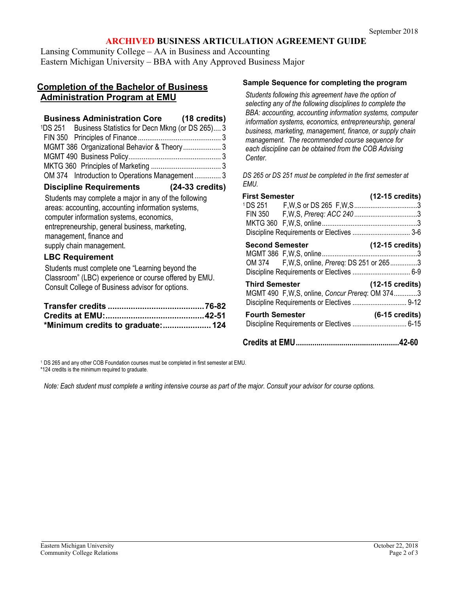# **ARCHIVED BUSINESS ARTICULATION AGREEMENT GUIDE**

Lansing Community College – AA in Business and Accounting Eastern Michigan University – BBA with Any Approved Business Major

## **Completion of the Bachelor of Business Administration Program at EMU**

# **Business Administration Core (18 credits)**

| <sup>1</sup> DS 251 Business Statistics for Decn Mkng (or DS 265) 3 |  |
|---------------------------------------------------------------------|--|
|                                                                     |  |
| MGMT 386 Organizational Behavior & Theory3                          |  |
|                                                                     |  |
|                                                                     |  |
| OM 374 Introduction to Operations Management 3                      |  |

### **Discipline Requirements (24-33 credits)**

Students may complete a major in any of the following areas: accounting, accounting information systems, computer information systems, economics, entrepreneurship, general business, marketing, management, finance and supply chain management.

### **LBC Requirement**

Students must complete one "Learning beyond the Classroom" (LBC) experience or course offered by EMU. Consult College of Business advisor for options.

| *Minimum credits to graduate: 124 |  |
|-----------------------------------|--|

#### <sup>1</sup> DS 265 and any other COB Foundation courses must be completed in first semester at EMU.

\*124 credits is the minimum required to graduate.

*Note: Each student must complete a writing intensive course as part of the major. Consult your advisor for course options.*

## **Sample Sequence for completing the program**

*Students following this agreement have the option of selecting any of the following disciplines to complete the BBA: accounting, accounting information systems, computer information systems, economics, entrepreneurship, general business, marketing, management, finance, or supply chain management. The recommended course sequence for each discipline can be obtained from the COB Advising Center.*

*DS 265 or DS 251 must be completed in the first semester at EMU.*

| First Semester         |                                                  | $(12-15 \text{ credits})$ |
|------------------------|--------------------------------------------------|---------------------------|
|                        |                                                  |                           |
|                        |                                                  |                           |
|                        |                                                  |                           |
|                        |                                                  |                           |
| <b>Second Semester</b> |                                                  | $(12-15 \text{ credits})$ |
|                        | OM 374 F, W, S, online, Prereg: DS 251 or 2653   |                           |
|                        |                                                  |                           |
| <b>Third Semester</b>  |                                                  | $(12-15 \text{ credits})$ |
|                        | MGMT 490 F, W, S, online, Concur Prereq: OM 3743 |                           |
|                        |                                                  |                           |
| <b>Fourth Semester</b> |                                                  | $(6-15 \text{ credits})$  |

**Credits at EMU..................................................42-60**